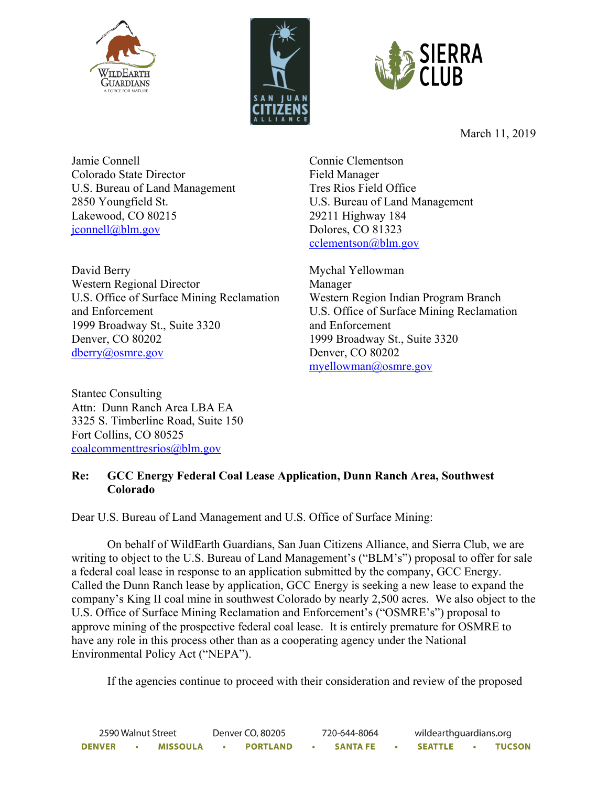





March 11, 2019

Jamie Connell Colorado State Director U.S. Bureau of Land Management 2850 Youngfield St. Lakewood, CO 80215 jconnell@blm.gov

David Berry Western Regional Director U.S. Office of Surface Mining Reclamation and Enforcement 1999 Broadway St., Suite 3320 Denver, CO 80202 dberry@osmre.gov

Connie Clementson Field Manager Tres Rios Field Office U.S. Bureau of Land Management 29211 Highway 184 Dolores, CO 81323 cclementson@blm.gov

Mychal Yellowman Manager Western Region Indian Program Branch U.S. Office of Surface Mining Reclamation and Enforcement 1999 Broadway St., Suite 3320 Denver, CO 80202 myellowman@osmre.gov

Stantec Consulting Attn: Dunn Ranch Area LBA EA 3325 S. Timberline Road, Suite 150 Fort Collins, CO 80525 coalcommenttresrios@blm.gov

# **Re: GCC Energy Federal Coal Lease Application, Dunn Ranch Area, Southwest Colorado**

Dear U.S. Bureau of Land Management and U.S. Office of Surface Mining:

On behalf of WildEarth Guardians, San Juan Citizens Alliance, and Sierra Club, we are writing to object to the U.S. Bureau of Land Management's ("BLM's") proposal to offer for sale a federal coal lease in response to an application submitted by the company, GCC Energy. Called the Dunn Ranch lease by application, GCC Energy is seeking a new lease to expand the company's King II coal mine in southwest Colorado by nearly 2,500 acres. We also object to the U.S. Office of Surface Mining Reclamation and Enforcement's ("OSMRE's") proposal to approve mining of the prospective federal coal lease. It is entirely premature for OSMRE to have any role in this process other than as a cooperating agency under the National Environmental Policy Act ("NEPA").

If the agencies continue to proceed with their consideration and review of the proposed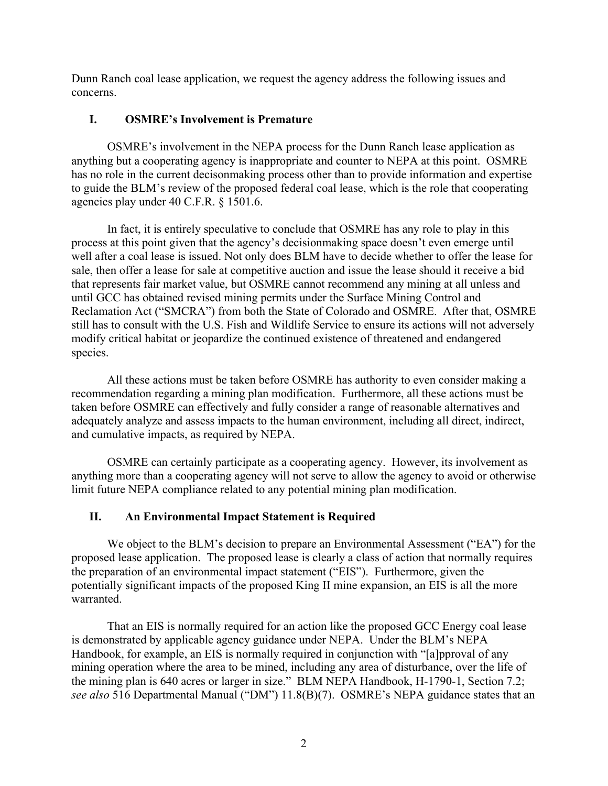Dunn Ranch coal lease application, we request the agency address the following issues and concerns.

### **I. OSMRE's Involvement is Premature**

OSMRE's involvement in the NEPA process for the Dunn Ranch lease application as anything but a cooperating agency is inappropriate and counter to NEPA at this point. OSMRE has no role in the current decisonmaking process other than to provide information and expertise to guide the BLM's review of the proposed federal coal lease, which is the role that cooperating agencies play under 40 C.F.R. § 1501.6.

In fact, it is entirely speculative to conclude that OSMRE has any role to play in this process at this point given that the agency's decisionmaking space doesn't even emerge until well after a coal lease is issued. Not only does BLM have to decide whether to offer the lease for sale, then offer a lease for sale at competitive auction and issue the lease should it receive a bid that represents fair market value, but OSMRE cannot recommend any mining at all unless and until GCC has obtained revised mining permits under the Surface Mining Control and Reclamation Act ("SMCRA") from both the State of Colorado and OSMRE. After that, OSMRE still has to consult with the U.S. Fish and Wildlife Service to ensure its actions will not adversely modify critical habitat or jeopardize the continued existence of threatened and endangered species.

All these actions must be taken before OSMRE has authority to even consider making a recommendation regarding a mining plan modification. Furthermore, all these actions must be taken before OSMRE can effectively and fully consider a range of reasonable alternatives and adequately analyze and assess impacts to the human environment, including all direct, indirect, and cumulative impacts, as required by NEPA.

OSMRE can certainly participate as a cooperating agency. However, its involvement as anything more than a cooperating agency will not serve to allow the agency to avoid or otherwise limit future NEPA compliance related to any potential mining plan modification.

# **II. An Environmental Impact Statement is Required**

We object to the BLM's decision to prepare an Environmental Assessment ("EA") for the proposed lease application. The proposed lease is clearly a class of action that normally requires the preparation of an environmental impact statement ("EIS"). Furthermore, given the potentially significant impacts of the proposed King II mine expansion, an EIS is all the more warranted.

That an EIS is normally required for an action like the proposed GCC Energy coal lease is demonstrated by applicable agency guidance under NEPA. Under the BLM's NEPA Handbook, for example, an EIS is normally required in conjunction with "[a]pproval of any mining operation where the area to be mined, including any area of disturbance, over the life of the mining plan is 640 acres or larger in size." BLM NEPA Handbook, H-1790-1, Section 7.2; *see also* 516 Departmental Manual ("DM") 11.8(B)(7). OSMRE's NEPA guidance states that an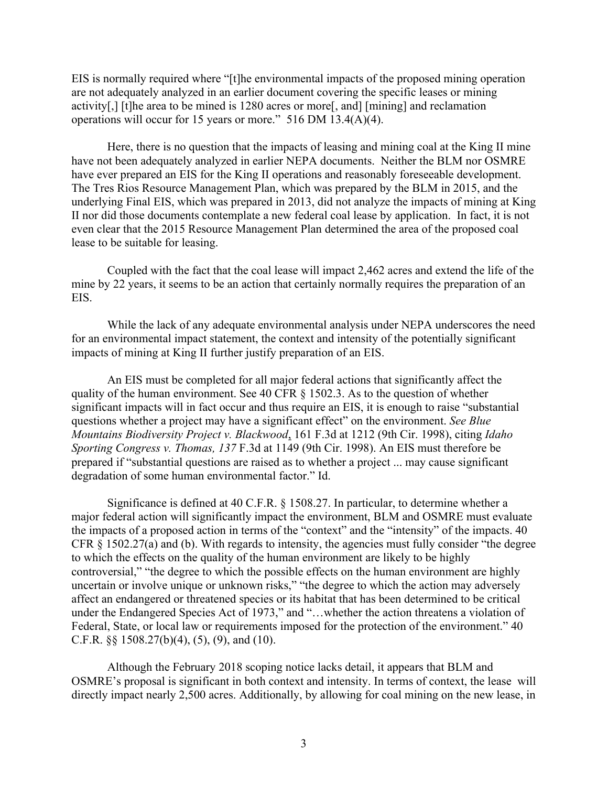EIS is normally required where "[t]he environmental impacts of the proposed mining operation are not adequately analyzed in an earlier document covering the specific leases or mining activity[,] [t]he area to be mined is 1280 acres or more[, and] [mining] and reclamation operations will occur for 15 years or more." 516 DM 13.4(A)(4).

Here, there is no question that the impacts of leasing and mining coal at the King II mine have not been adequately analyzed in earlier NEPA documents. Neither the BLM nor OSMRE have ever prepared an EIS for the King II operations and reasonably foreseeable development. The Tres Rios Resource Management Plan, which was prepared by the BLM in 2015, and the underlying Final EIS, which was prepared in 2013, did not analyze the impacts of mining at King II nor did those documents contemplate a new federal coal lease by application. In fact, it is not even clear that the 2015 Resource Management Plan determined the area of the proposed coal lease to be suitable for leasing.

Coupled with the fact that the coal lease will impact 2,462 acres and extend the life of the mine by 22 years, it seems to be an action that certainly normally requires the preparation of an EIS.

While the lack of any adequate environmental analysis under NEPA underscores the need for an environmental impact statement, the context and intensity of the potentially significant impacts of mining at King II further justify preparation of an EIS.

An EIS must be completed for all major federal actions that significantly affect the quality of the human environment. See 40 CFR § 1502.3. As to the question of whether significant impacts will in fact occur and thus require an EIS, it is enough to raise "substantial questions whether a project may have a significant effect" on the environment. *See Blue Mountains Biodiversity Project v. Blackwood*, 161 F.3d at 1212 (9th Cir. 1998), citing *Idaho Sporting Congress v. Thomas, 137* F.3d at 1149 (9th Cir. 1998). An EIS must therefore be prepared if "substantial questions are raised as to whether a project ... may cause significant degradation of some human environmental factor." Id.

Significance is defined at 40 C.F.R. § 1508.27. In particular, to determine whether a major federal action will significantly impact the environment, BLM and OSMRE must evaluate the impacts of a proposed action in terms of the "context" and the "intensity" of the impacts. 40 CFR § 1502.27(a) and (b). With regards to intensity, the agencies must fully consider "the degree to which the effects on the quality of the human environment are likely to be highly controversial," "the degree to which the possible effects on the human environment are highly uncertain or involve unique or unknown risks," "the degree to which the action may adversely affect an endangered or threatened species or its habitat that has been determined to be critical under the Endangered Species Act of 1973," and "...whether the action threatens a violation of Federal, State, or local law or requirements imposed for the protection of the environment." 40 C.F.R.  $\S$  1508.27(b)(4), (5), (9), and (10).

Although the February 2018 scoping notice lacks detail, it appears that BLM and OSMRE's proposal is significant in both context and intensity. In terms of context, the lease will directly impact nearly 2,500 acres. Additionally, by allowing for coal mining on the new lease, in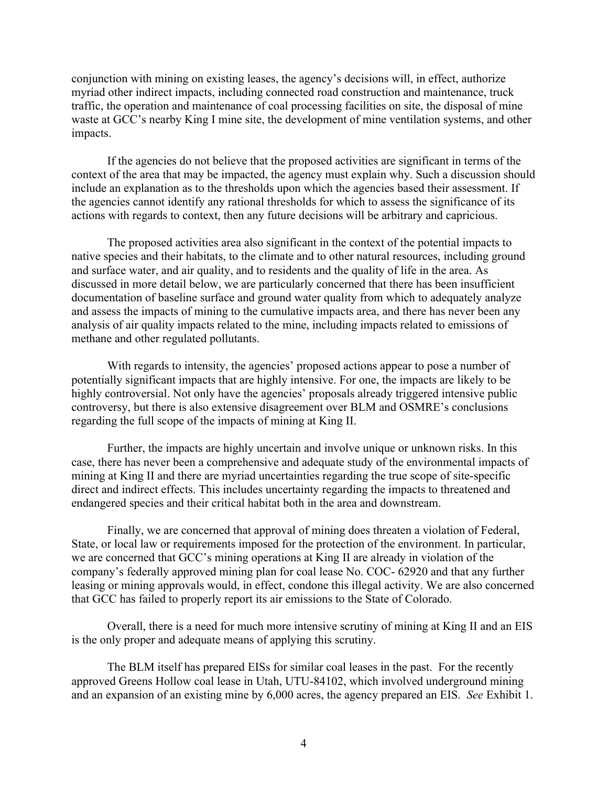conjunction with mining on existing leases, the agency's decisions will, in effect, authorize myriad other indirect impacts, including connected road construction and maintenance, truck traffic, the operation and maintenance of coal processing facilities on site, the disposal of mine waste at GCC's nearby King I mine site, the development of mine ventilation systems, and other impacts.

If the agencies do not believe that the proposed activities are significant in terms of the context of the area that may be impacted, the agency must explain why. Such a discussion should include an explanation as to the thresholds upon which the agencies based their assessment. If the agencies cannot identify any rational thresholds for which to assess the significance of its actions with regards to context, then any future decisions will be arbitrary and capricious.

The proposed activities area also significant in the context of the potential impacts to native species and their habitats, to the climate and to other natural resources, including ground and surface water, and air quality, and to residents and the quality of life in the area. As discussed in more detail below, we are particularly concerned that there has been insufficient documentation of baseline surface and ground water quality from which to adequately analyze and assess the impacts of mining to the cumulative impacts area, and there has never been any analysis of air quality impacts related to the mine, including impacts related to emissions of methane and other regulated pollutants.

With regards to intensity, the agencies' proposed actions appear to pose a number of potentially significant impacts that are highly intensive. For one, the impacts are likely to be highly controversial. Not only have the agencies' proposals already triggered intensive public controversy, but there is also extensive disagreement over BLM and OSMRE's conclusions regarding the full scope of the impacts of mining at King II.

Further, the impacts are highly uncertain and involve unique or unknown risks. In this case, there has never been a comprehensive and adequate study of the environmental impacts of mining at King II and there are myriad uncertainties regarding the true scope of site-specific direct and indirect effects. This includes uncertainty regarding the impacts to threatened and endangered species and their critical habitat both in the area and downstream.

Finally, we are concerned that approval of mining does threaten a violation of Federal, State, or local law or requirements imposed for the protection of the environment. In particular, we are concerned that GCC's mining operations at King II are already in violation of the company's federally approved mining plan for coal lease No. COC- 62920 and that any further leasing or mining approvals would, in effect, condone this illegal activity. We are also concerned that GCC has failed to properly report its air emissions to the State of Colorado.

Overall, there is a need for much more intensive scrutiny of mining at King II and an EIS is the only proper and adequate means of applying this scrutiny.

The BLM itself has prepared EISs for similar coal leases in the past. For the recently approved Greens Hollow coal lease in Utah, UTU-84102, which involved underground mining and an expansion of an existing mine by 6,000 acres, the agency prepared an EIS. *See* Exhibit 1.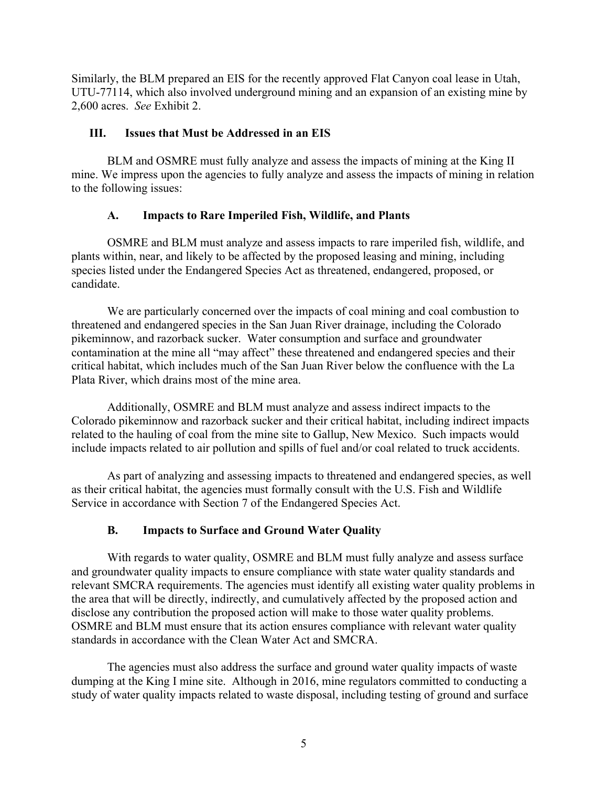Similarly, the BLM prepared an EIS for the recently approved Flat Canyon coal lease in Utah, UTU-77114, which also involved underground mining and an expansion of an existing mine by 2,600 acres. *See* Exhibit 2.

### **III. Issues that Must be Addressed in an EIS**

BLM and OSMRE must fully analyze and assess the impacts of mining at the King II mine. We impress upon the agencies to fully analyze and assess the impacts of mining in relation to the following issues:

# **A. Impacts to Rare Imperiled Fish, Wildlife, and Plants**

OSMRE and BLM must analyze and assess impacts to rare imperiled fish, wildlife, and plants within, near, and likely to be affected by the proposed leasing and mining, including species listed under the Endangered Species Act as threatened, endangered, proposed, or candidate.

We are particularly concerned over the impacts of coal mining and coal combustion to threatened and endangered species in the San Juan River drainage, including the Colorado pikeminnow, and razorback sucker. Water consumption and surface and groundwater contamination at the mine all "may affect" these threatened and endangered species and their critical habitat, which includes much of the San Juan River below the confluence with the La Plata River, which drains most of the mine area.

Additionally, OSMRE and BLM must analyze and assess indirect impacts to the Colorado pikeminnow and razorback sucker and their critical habitat, including indirect impacts related to the hauling of coal from the mine site to Gallup, New Mexico. Such impacts would include impacts related to air pollution and spills of fuel and/or coal related to truck accidents.

As part of analyzing and assessing impacts to threatened and endangered species, as well as their critical habitat, the agencies must formally consult with the U.S. Fish and Wildlife Service in accordance with Section 7 of the Endangered Species Act.

# **B. Impacts to Surface and Ground Water Quality**

With regards to water quality, OSMRE and BLM must fully analyze and assess surface and groundwater quality impacts to ensure compliance with state water quality standards and relevant SMCRA requirements. The agencies must identify all existing water quality problems in the area that will be directly, indirectly, and cumulatively affected by the proposed action and disclose any contribution the proposed action will make to those water quality problems. OSMRE and BLM must ensure that its action ensures compliance with relevant water quality standards in accordance with the Clean Water Act and SMCRA.

The agencies must also address the surface and ground water quality impacts of waste dumping at the King I mine site. Although in 2016, mine regulators committed to conducting a study of water quality impacts related to waste disposal, including testing of ground and surface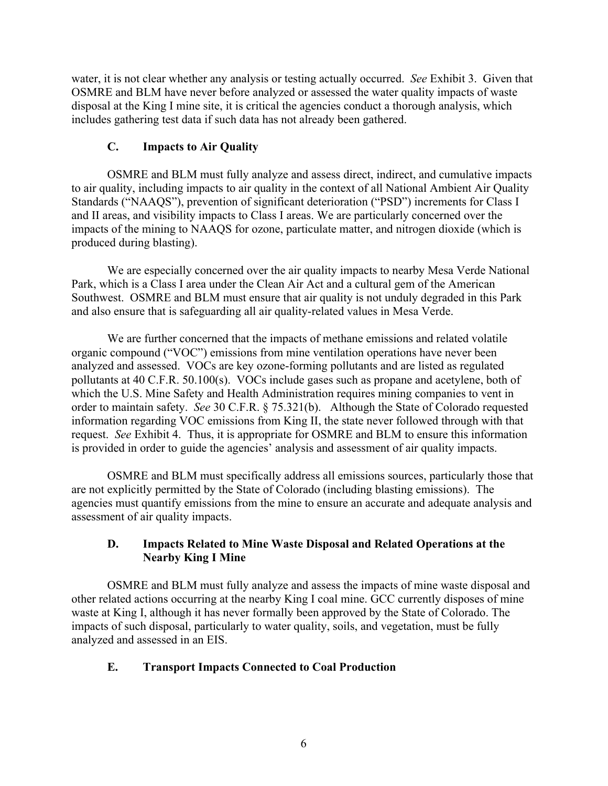water, it is not clear whether any analysis or testing actually occurred. *See* Exhibit 3. Given that OSMRE and BLM have never before analyzed or assessed the water quality impacts of waste disposal at the King I mine site, it is critical the agencies conduct a thorough analysis, which includes gathering test data if such data has not already been gathered.

# **C. Impacts to Air Quality**

OSMRE and BLM must fully analyze and assess direct, indirect, and cumulative impacts to air quality, including impacts to air quality in the context of all National Ambient Air Quality Standards ("NAAQS"), prevention of significant deterioration ("PSD") increments for Class I and II areas, and visibility impacts to Class I areas. We are particularly concerned over the impacts of the mining to NAAQS for ozone, particulate matter, and nitrogen dioxide (which is produced during blasting).

We are especially concerned over the air quality impacts to nearby Mesa Verde National Park, which is a Class I area under the Clean Air Act and a cultural gem of the American Southwest. OSMRE and BLM must ensure that air quality is not unduly degraded in this Park and also ensure that is safeguarding all air quality-related values in Mesa Verde.

We are further concerned that the impacts of methane emissions and related volatile organic compound ("VOC") emissions from mine ventilation operations have never been analyzed and assessed. VOCs are key ozone-forming pollutants and are listed as regulated pollutants at 40 C.F.R. 50.100(s). VOCs include gases such as propane and acetylene, both of which the U.S. Mine Safety and Health Administration requires mining companies to vent in order to maintain safety. *See* 30 C.F.R. § 75.321(b). Although the State of Colorado requested information regarding VOC emissions from King II, the state never followed through with that request. *See* Exhibit 4. Thus, it is appropriate for OSMRE and BLM to ensure this information is provided in order to guide the agencies' analysis and assessment of air quality impacts.

OSMRE and BLM must specifically address all emissions sources, particularly those that are not explicitly permitted by the State of Colorado (including blasting emissions). The agencies must quantify emissions from the mine to ensure an accurate and adequate analysis and assessment of air quality impacts.

# **D. Impacts Related to Mine Waste Disposal and Related Operations at the Nearby King I Mine**

OSMRE and BLM must fully analyze and assess the impacts of mine waste disposal and other related actions occurring at the nearby King I coal mine. GCC currently disposes of mine waste at King I, although it has never formally been approved by the State of Colorado. The impacts of such disposal, particularly to water quality, soils, and vegetation, must be fully analyzed and assessed in an EIS.

# **E. Transport Impacts Connected to Coal Production**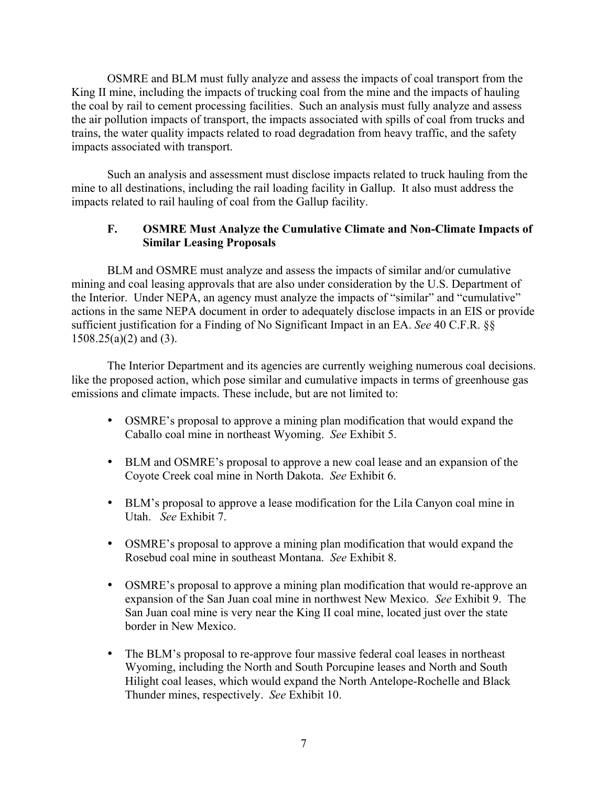OSMRE and BLM must fully analyze and assess the impacts of coal transport from the King II mine, including the impacts of trucking coal from the mine and the impacts of hauling the coal by rail to cement processing facilities. Such an analysis must fully analyze and assess the air pollution impacts of transport, the impacts associated with spills of coal from trucks and trains, the water quality impacts related to road degradation from heavy traffic, and the safety impacts associated with transport.

Such an analysis and assessment must disclose impacts related to truck hauling from the mine to all destinations, including the rail loading facility in Gallup. It also must address the impacts related to rail hauling of coal from the Gallup facility.

# **F. OSMRE Must Analyze the Cumulative Climate and Non-Climate Impacts of Similar Leasing Proposals**

BLM and OSMRE must analyze and assess the impacts of similar and/or cumulative mining and coal leasing approvals that are also under consideration by the U.S. Department of the Interior. Under NEPA, an agency must analyze the impacts of "similar" and "cumulative" actions in the same NEPA document in order to adequately disclose impacts in an EIS or provide sufficient justification for a Finding of No Significant Impact in an EA. *See* 40 C.F.R. §§ 1508.25(a)(2) and (3).

The Interior Department and its agencies are currently weighing numerous coal decisions. like the proposed action, which pose similar and cumulative impacts in terms of greenhouse gas emissions and climate impacts. These include, but are not limited to:

- OSMRE's proposal to approve a mining plan modification that would expand the Caballo coal mine in northeast Wyoming. *See* Exhibit 5.
- BLM and OSMRE's proposal to approve a new coal lease and an expansion of the Coyote Creek coal mine in North Dakota. *See* Exhibit 6.
- BLM's proposal to approve a lease modification for the Lila Canyon coal mine in Utah. *See* Exhibit 7.
- OSMRE's proposal to approve a mining plan modification that would expand the Rosebud coal mine in southeast Montana. *See* Exhibit 8.
- OSMRE's proposal to approve a mining plan modification that would re-approve an expansion of the San Juan coal mine in northwest New Mexico. *See* Exhibit 9. The San Juan coal mine is very near the King II coal mine, located just over the state border in New Mexico.
- The BLM's proposal to re-approve four massive federal coal leases in northeast Wyoming, including the North and South Porcupine leases and North and South Hilight coal leases, which would expand the North Antelope-Rochelle and Black Thunder mines, respectively. *See* Exhibit 10.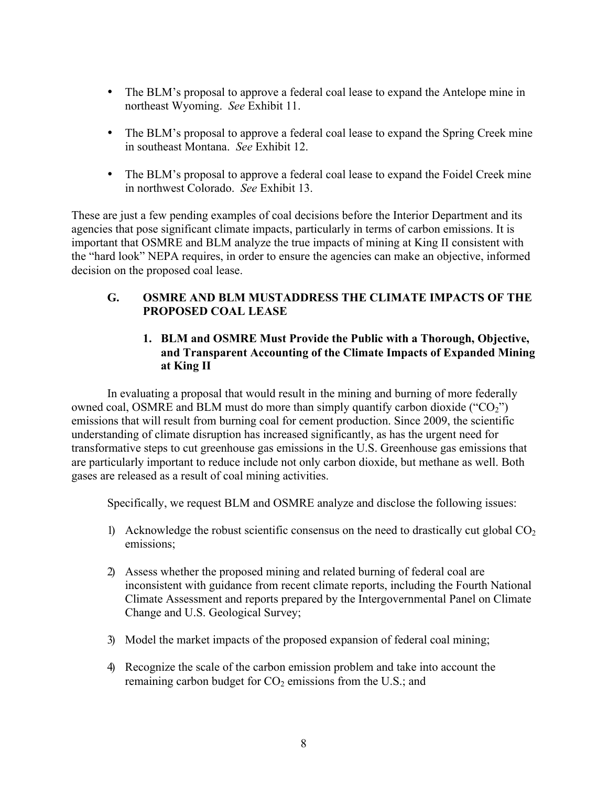- The BLM's proposal to approve a federal coal lease to expand the Antelope mine in northeast Wyoming. *See* Exhibit 11.
- The BLM's proposal to approve a federal coal lease to expand the Spring Creek mine in southeast Montana. *See* Exhibit 12.
- The BLM's proposal to approve a federal coal lease to expand the Foidel Creek mine in northwest Colorado. *See* Exhibit 13.

These are just a few pending examples of coal decisions before the Interior Department and its agencies that pose significant climate impacts, particularly in terms of carbon emissions. It is important that OSMRE and BLM analyze the true impacts of mining at King II consistent with the "hard look" NEPA requires, in order to ensure the agencies can make an objective, informed decision on the proposed coal lease.

# **G. OSMRE AND BLM MUSTADDRESS THE CLIMATE IMPACTS OF THE PROPOSED COAL LEASE**

# **1. BLM and OSMRE Must Provide the Public with a Thorough, Objective, and Transparent Accounting of the Climate Impacts of Expanded Mining at King II**

In evaluating a proposal that would result in the mining and burning of more federally owned coal, OSMRE and BLM must do more than simply quantify carbon dioxide (" $CO<sub>2</sub>$ ") emissions that will result from burning coal for cement production. Since 2009, the scientific understanding of climate disruption has increased significantly, as has the urgent need for transformative steps to cut greenhouse gas emissions in the U.S. Greenhouse gas emissions that are particularly important to reduce include not only carbon dioxide, but methane as well. Both gases are released as a result of coal mining activities.

Specifically, we request BLM and OSMRE analyze and disclose the following issues:

- 1) Acknowledge the robust scientific consensus on the need to drastically cut global  $CO<sub>2</sub>$ emissions;
- 2) Assess whether the proposed mining and related burning of federal coal are inconsistent with guidance from recent climate reports, including the Fourth National Climate Assessment and reports prepared by the Intergovernmental Panel on Climate Change and U.S. Geological Survey;
- 3) Model the market impacts of the proposed expansion of federal coal mining;
- 4) Recognize the scale of the carbon emission problem and take into account the remaining carbon budget for  $CO<sub>2</sub>$  emissions from the U.S.; and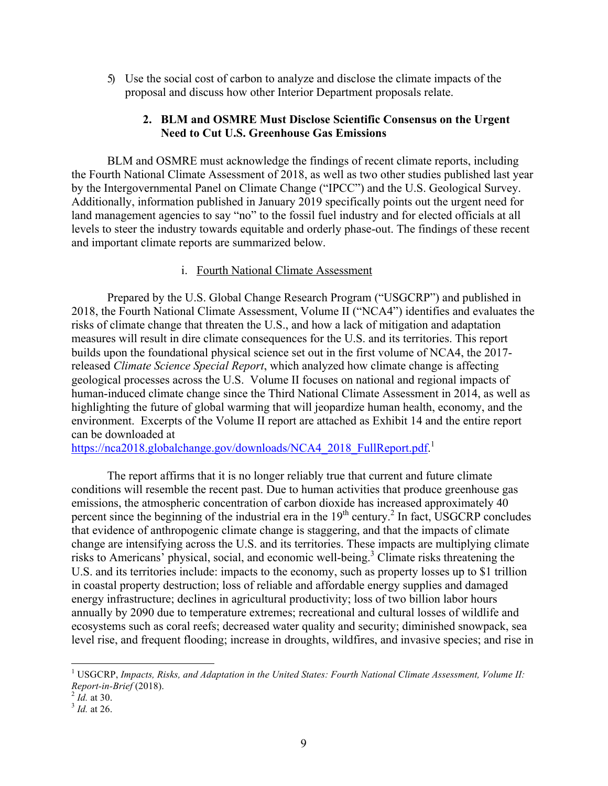5) Use the social cost of carbon to analyze and disclose the climate impacts of the proposal and discuss how other Interior Department proposals relate.

#### **2. BLM and OSMRE Must Disclose Scientific Consensus on the Urgent Need to Cut U.S. Greenhouse Gas Emissions**

BLM and OSMRE must acknowledge the findings of recent climate reports, including the Fourth National Climate Assessment of 2018, as well as two other studies published last year by the Intergovernmental Panel on Climate Change ("IPCC") and the U.S. Geological Survey. Additionally, information published in January 2019 specifically points out the urgent need for land management agencies to say "no" to the fossil fuel industry and for elected officials at all levels to steer the industry towards equitable and orderly phase-out. The findings of these recent and important climate reports are summarized below.

#### i. Fourth National Climate Assessment

Prepared by the U.S. Global Change Research Program ("USGCRP") and published in 2018, the Fourth National Climate Assessment, Volume II ("NCA4") identifies and evaluates the risks of climate change that threaten the U.S., and how a lack of mitigation and adaptation measures will result in dire climate consequences for the U.S. and its territories. This report builds upon the foundational physical science set out in the first volume of NCA4, the 2017 released *Climate Science Special Report*, which analyzed how climate change is affecting geological processes across the U.S. Volume II focuses on national and regional impacts of human-induced climate change since the Third National Climate Assessment in 2014, as well as highlighting the future of global warming that will jeopardize human health, economy, and the environment. Excerpts of the Volume II report are attached as Exhibit 14 and the entire report can be downloaded at

https://nca2018.globalchange.gov/downloads/NCA4\_2018\_FullReport.pdf.<sup>1</sup>

The report affirms that it is no longer reliably true that current and future climate conditions will resemble the recent past. Due to human activities that produce greenhouse gas emissions, the atmospheric concentration of carbon dioxide has increased approximately 40 percent since the beginning of the industrial era in the  $19<sup>th</sup>$  century.<sup>2</sup> In fact, USGCRP concludes that evidence of anthropogenic climate change is staggering, and that the impacts of climate change are intensifying across the U.S. and its territories. These impacts are multiplying climate risks to Americans' physical, social, and economic well-being.<sup>3</sup> Climate risks threatening the U.S. and its territories include: impacts to the economy, such as property losses up to \$1 trillion in coastal property destruction; loss of reliable and affordable energy supplies and damaged energy infrastructure; declines in agricultural productivity; loss of two billion labor hours annually by 2090 due to temperature extremes; recreational and cultural losses of wildlife and ecosystems such as coral reefs; decreased water quality and security; diminished snowpack, sea level rise, and frequent flooding; increase in droughts, wildfires, and invasive species; and rise in

 <sup>1</sup> USGCRP, *Impacts, Risks, and Adaptation in the United States: Fourth National Climate Assessment, Volume II: Report-in-Brief* (2018). <sup>2</sup> *Id.* at 30. <sup>3</sup> *Id.* at 26.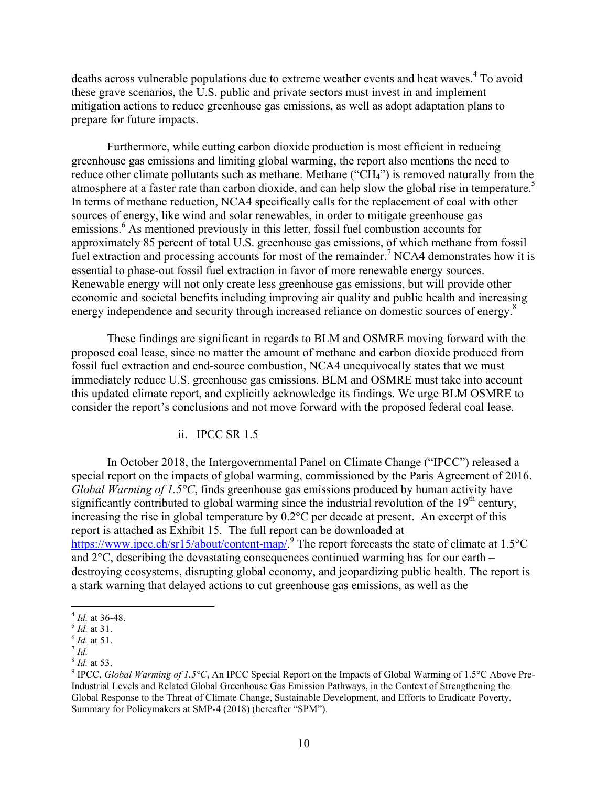deaths across vulnerable populations due to extreme weather events and heat waves.<sup>4</sup> To avoid these grave scenarios, the U.S. public and private sectors must invest in and implement mitigation actions to reduce greenhouse gas emissions, as well as adopt adaptation plans to prepare for future impacts.

Furthermore, while cutting carbon dioxide production is most efficient in reducing greenhouse gas emissions and limiting global warming, the report also mentions the need to reduce other climate pollutants such as methane. Methane ("CH4") is removed naturally from the atmosphere at a faster rate than carbon dioxide, and can help slow the global rise in temperature.<sup>5</sup> In terms of methane reduction, NCA4 specifically calls for the replacement of coal with other sources of energy, like wind and solar renewables, in order to mitigate greenhouse gas emissions.<sup>6</sup> As mentioned previously in this letter, fossil fuel combustion accounts for approximately 85 percent of total U.S. greenhouse gas emissions, of which methane from fossil fuel extraction and processing accounts for most of the remainder.<sup>7</sup> NCA4 demonstrates how it is essential to phase-out fossil fuel extraction in favor of more renewable energy sources. Renewable energy will not only create less greenhouse gas emissions, but will provide other economic and societal benefits including improving air quality and public health and increasing energy independence and security through increased reliance on domestic sources of energy.<sup>8</sup>

These findings are significant in regards to BLM and OSMRE moving forward with the proposed coal lease, since no matter the amount of methane and carbon dioxide produced from fossil fuel extraction and end-source combustion, NCA4 unequivocally states that we must immediately reduce U.S. greenhouse gas emissions. BLM and OSMRE must take into account this updated climate report, and explicitly acknowledge its findings. We urge BLM OSMRE to consider the report's conclusions and not move forward with the proposed federal coal lease.

#### ii. IPCC SR 1.5

In October 2018, the Intergovernmental Panel on Climate Change ("IPCC") released a special report on the impacts of global warming, commissioned by the Paris Agreement of 2016. *Global Warming of 1.5°C*, finds greenhouse gas emissions produced by human activity have significantly contributed to global warming since the industrial revolution of the  $19<sup>th</sup>$  century, increasing the rise in global temperature by 0.2°C per decade at present. An excerpt of this report is attached as Exhibit 15. The full report can be downloaded at https://www.ipcc.ch/sr15/about/content-map/.<sup>9</sup> The report forecasts the state of climate at 1.5°C and 2°C, describing the devastating consequences continued warming has for our earth – destroying ecosystems, disrupting global economy, and jeopardizing public health. The report is a stark warning that delayed actions to cut greenhouse gas emissions, as well as the

 <sup>4</sup> *Id.* at 36-48. <sup>5</sup> *Id.* at 31. <sup>6</sup> *Id.* at 51. <sup>7</sup> *Id.*

 $8$  *Id.* at 53.

<sup>&</sup>lt;sup>9</sup> IPCC, *Global Warming of 1.5*°C, An IPCC Special Report on the Impacts of Global Warming of 1.5°C Above Pre-Industrial Levels and Related Global Greenhouse Gas Emission Pathways, in the Context of Strengthening the Global Response to the Threat of Climate Change, Sustainable Development, and Efforts to Eradicate Poverty, Summary for Policymakers at SMP-4 (2018) (hereafter "SPM").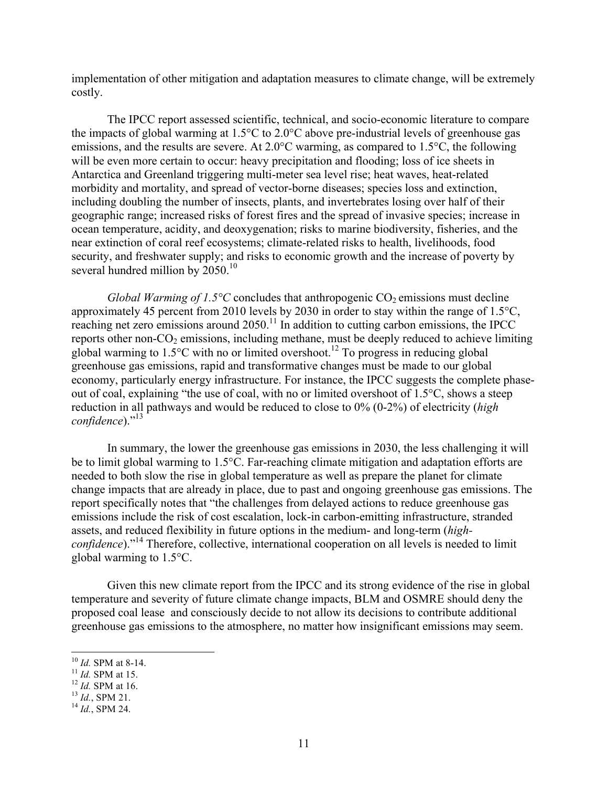implementation of other mitigation and adaptation measures to climate change, will be extremely costly.

The IPCC report assessed scientific, technical, and socio-economic literature to compare the impacts of global warming at 1.5°C to 2.0°C above pre-industrial levels of greenhouse gas emissions, and the results are severe. At 2.0°C warming, as compared to 1.5°C, the following will be even more certain to occur: heavy precipitation and flooding; loss of ice sheets in Antarctica and Greenland triggering multi-meter sea level rise; heat waves, heat-related morbidity and mortality, and spread of vector-borne diseases; species loss and extinction, including doubling the number of insects, plants, and invertebrates losing over half of their geographic range; increased risks of forest fires and the spread of invasive species; increase in ocean temperature, acidity, and deoxygenation; risks to marine biodiversity, fisheries, and the near extinction of coral reef ecosystems; climate-related risks to health, livelihoods, food security, and freshwater supply; and risks to economic growth and the increase of poverty by several hundred million by 2050.<sup>10</sup>

*Global Warming of 1.5°C* concludes that anthropogenic  $CO_2$  emissions must decline approximately 45 percent from 2010 levels by 2030 in order to stay within the range of 1.5°C, reaching net zero emissions around  $2050$ .<sup>11</sup> In addition to cutting carbon emissions, the IPCC reports other non- $CO<sub>2</sub>$  emissions, including methane, must be deeply reduced to achieve limiting global warming to  $1.5^{\circ}$ C with no or limited overshoot.<sup>12</sup> To progress in reducing global greenhouse gas emissions, rapid and transformative changes must be made to our global economy, particularly energy infrastructure. For instance, the IPCC suggests the complete phaseout of coal, explaining "the use of coal, with no or limited overshoot of 1.5°C, shows a steep reduction in all pathways and would be reduced to close to 0% (0-2%) of electricity (*high confidence*)."<sup>13</sup>

In summary, the lower the greenhouse gas emissions in 2030, the less challenging it will be to limit global warming to 1.5°C. Far-reaching climate mitigation and adaptation efforts are needed to both slow the rise in global temperature as well as prepare the planet for climate change impacts that are already in place, due to past and ongoing greenhouse gas emissions. The report specifically notes that "the challenges from delayed actions to reduce greenhouse gas emissions include the risk of cost escalation, lock-in carbon-emitting infrastructure, stranded assets, and reduced flexibility in future options in the medium- and long-term (*highconfidence*)."<sup>14</sup> Therefore, collective, international cooperation on all levels is needed to limit global warming to 1.5°C.

Given this new climate report from the IPCC and its strong evidence of the rise in global temperature and severity of future climate change impacts, BLM and OSMRE should deny the proposed coal lease and consciously decide to not allow its decisions to contribute additional greenhouse gas emissions to the atmosphere, no matter how insignificant emissions may seem.

 <sup>10</sup> *Id.* SPM at 8-14. <sup>11</sup> *Id.* SPM at 15. <sup>12</sup> *Id.* SPM at 16. <sup>13</sup> *Id.*, SPM 21. <sup>14</sup> *Id.*, SPM 24.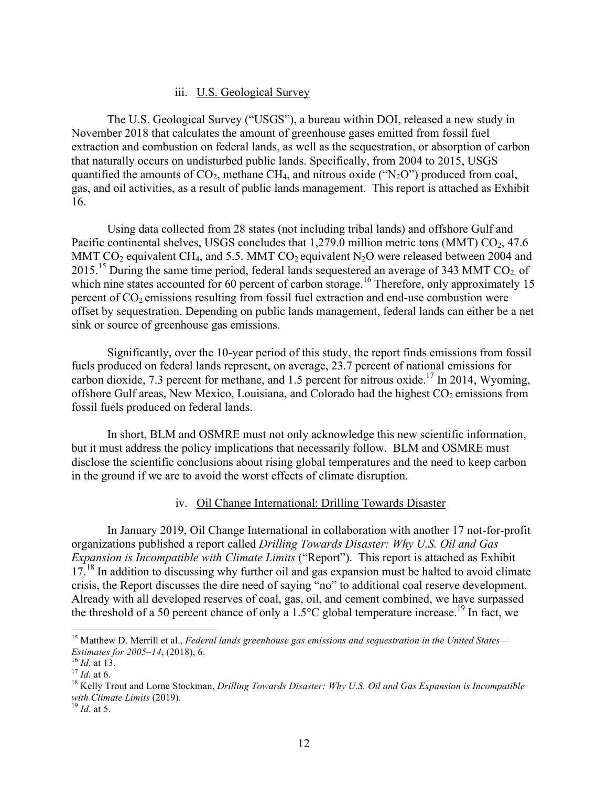#### iii. U.S. Geological Survey

The U.S. Geological Survey ("USGS"), a bureau within DOI, released a new study in November 2018 that calculates the amount of greenhouse gases emitted from fossil fuel extraction and combustion on federal lands, as well as the sequestration, or absorption of carbon that naturally occurs on undisturbed public lands. Specifically, from 2004 to 2015, USGS quantified the amounts of  $CO_2$ , methane  $CH_4$ , and nitrous oxide ("N<sub>2</sub>O") produced from coal, gas, and oil activities, as a result of public lands management. This report is attached as Exhibit 16.

Using data collected from 28 states (not including tribal lands) and offshore Gulf and Pacific continental shelves, USGS concludes that  $1,279.0$  million metric tons (MMT)  $CO<sub>2</sub>$ , 47.6 MMT  $CO_2$  equivalent CH<sub>4</sub>, and 5.5. MMT  $CO_2$  equivalent N<sub>2</sub>O were released between 2004 and 2015.<sup>15</sup> During the same time period, federal lands sequestered an average of 343 MMT CO<sub>2</sub> of which nine states accounted for 60 percent of carbon storage.<sup>16</sup> Therefore, only approximately 15 percent of  $CO<sub>2</sub>$  emissions resulting from fossil fuel extraction and end-use combustion were offset by sequestration. Depending on public lands management, federal lands can either be a net sink or source of greenhouse gas emissions.

Significantly, over the 10-year period of this study, the report finds emissions from fossil fuels produced on federal lands represent, on average, 23.7 percent of national emissions for carbon dioxide, 7.3 percent for methane, and 1.5 percent for nitrous oxide.<sup>17</sup> In 2014, Wyoming, offshore Gulf areas, New Mexico, Louisiana, and Colorado had the highest  $CO<sub>2</sub>$  emissions from fossil fuels produced on federal lands.

In short, BLM and OSMRE must not only acknowledge this new scientific information, but it must address the policy implications that necessarily follow. BLM and OSMRE must disclose the scientific conclusions about rising global temperatures and the need to keep carbon in the ground if we are to avoid the worst effects of climate disruption.

#### iv. Oil Change International: Drilling Towards Disaster

In January 2019, Oil Change International in collaboration with another 17 not-for-profit organizations published a report called *Drilling Towards Disaster: Why U.S. Oil and Gas Expansion is Incompatible with Climate Limits* ("Report"). This report is attached as Exhibit  $17<sup>18</sup>$  In addition to discussing why further oil and gas expansion must be halted to avoid climate crisis, the Report discusses the dire need of saying "no" to additional coal reserve development. Already with all developed reserves of coal, gas, oil, and cement combined, we have surpassed the threshold of a 50 percent chance of only a  $1.5^{\circ}$ C global temperature increase.<sup>19</sup> In fact, we

 15 Matthew D. Merrill et al., *Federal lands greenhouse gas emissions and sequestration in the United States— Estimates for 2005–14*, (2018), 6.<br><sup>16</sup> *Id.* at 13.<br><sup>17</sup> *Id.* at 6. <sup>18</sup> Kelly Trout and Lorne Stockman, *Drilling Towards Disaster: Why U.S. Oil and Gas Expansion is Incompatible* 

*with Climate Limits* (2019). <sup>19</sup> *Id*. at 5.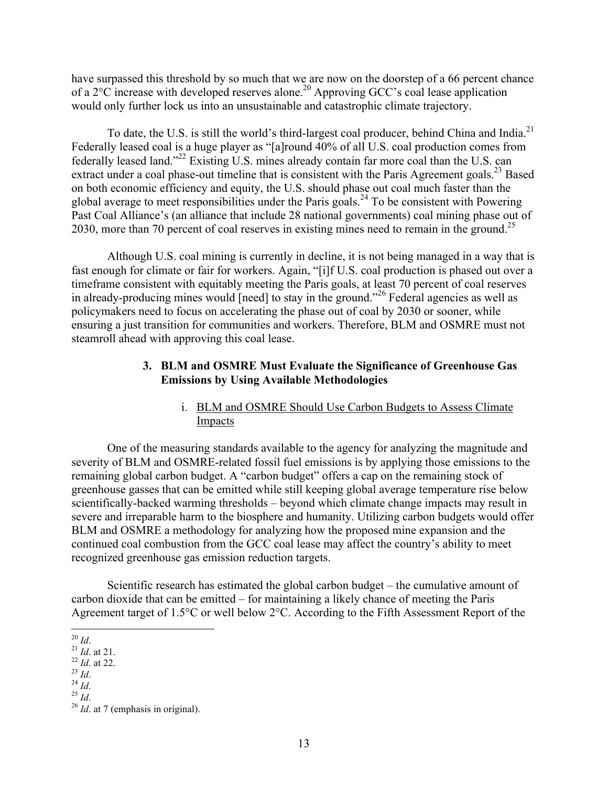have surpassed this threshold by so much that we are now on the doorstep of a 66 percent chance of a 2°C increase with developed reserves alone.<sup>20</sup> Approving GCC's coal lease application would only further lock us into an unsustainable and catastrophic climate trajectory.

To date, the U.S. is still the world's third-largest coal producer, behind China and India.<sup>21</sup> Federally leased coal is a huge player as "[a]round 40% of all U.S. coal production comes from federally leased land."<sup>22</sup> Existing U.S. mines already contain far more coal than the U.S. can extract under a coal phase-out timeline that is consistent with the Paris Agreement goals.<sup>23</sup> Based on both economic efficiency and equity, the U.S. should phase out coal much faster than the global average to meet responsibilities under the Paris goals.<sup>24</sup> To be consistent with Powering Past Coal Alliance's (an alliance that include 28 national governments) coal mining phase out of 2030, more than 70 percent of coal reserves in existing mines need to remain in the ground.<sup>25</sup>

Although U.S. coal mining is currently in decline, it is not being managed in a way that is fast enough for climate or fair for workers. Again, "[i]f U.S. coal production is phased out over a timeframe consistent with equitably meeting the Paris goals, at least 70 percent of coal reserves in already-producing mines would [need] to stay in the ground."<sup>26</sup> Federal agencies as well as policymakers need to focus on accelerating the phase out of coal by 2030 or sooner, while ensuring a just transition for communities and workers. Therefore, BLM and OSMRE must not steamroll ahead with approving this coal lease.

### **3. BLM and OSMRE Must Evaluate the Significance of Greenhouse Gas Emissions by Using Available Methodologies**

# i. BLM and OSMRE Should Use Carbon Budgets to Assess Climate **Impacts**

One of the measuring standards available to the agency for analyzing the magnitude and severity of BLM and OSMRE-related fossil fuel emissions is by applying those emissions to the remaining global carbon budget. A "carbon budget" offers a cap on the remaining stock of greenhouse gasses that can be emitted while still keeping global average temperature rise below scientifically-backed warming thresholds – beyond which climate change impacts may result in severe and irreparable harm to the biosphere and humanity. Utilizing carbon budgets would offer BLM and OSMRE a methodology for analyzing how the proposed mine expansion and the continued coal combustion from the GCC coal lease may affect the country's ability to meet recognized greenhouse gas emission reduction targets.

Scientific research has estimated the global carbon budget – the cumulative amount of carbon dioxide that can be emitted – for maintaining a likely chance of meeting the Paris Agreement target of 1.5°C or well below 2°C. According to the Fifth Assessment Report of the

<sup>20</sup> *Id.*<br>
<sup>21</sup> *Id.* at 21.<br>
<sup>22</sup> *Id.* at 22.<br>
<sup>24</sup> *Id.*<br>
<sup>25</sup> *Id.* 25 *Id.* 26 *Id.* at 7 (emphasis in original).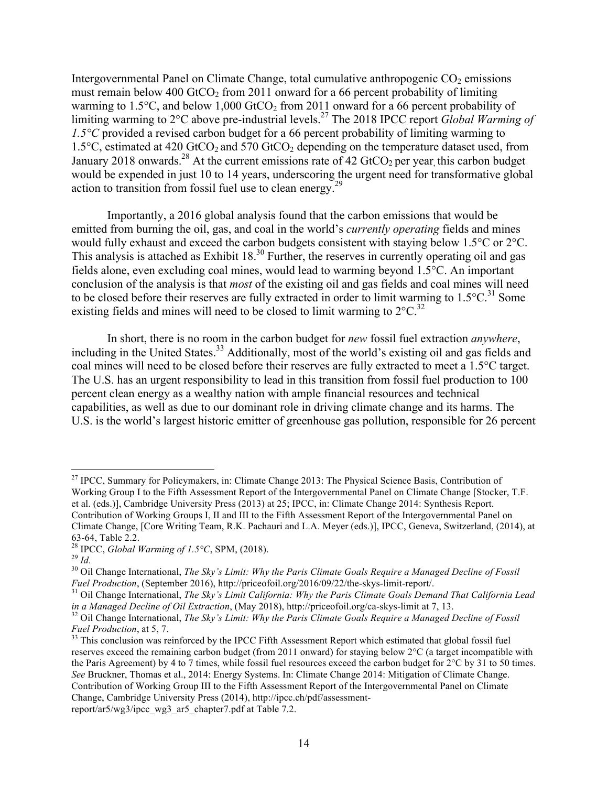Intergovernmental Panel on Climate Change, total cumulative anthropogenic  $CO<sub>2</sub>$  emissions must remain below 400 GtCO<sub>2</sub> from 2011 onward for a 66 percent probability of limiting warming to 1.5 $\degree$ C, and below 1,000 GtCO<sub>2</sub> from 2011 onward for a 66 percent probability of limiting warming to 2°C above pre-industrial levels.27 The 2018 IPCC report *Global Warming of 1.5°C* provided a revised carbon budget for a 66 percent probability of limiting warming to 1.5 $\degree$ C, estimated at 420 GtCO<sub>2</sub> and 570 GtCO<sub>2</sub> depending on the temperature dataset used, from January 2018 onwards.<sup>28</sup> At the current emissions rate of 42 GtCO<sub>2</sub> per year, this carbon budget would be expended in just 10 to 14 years, underscoring the urgent need for transformative global action to transition from fossil fuel use to clean energy.29

Importantly, a 2016 global analysis found that the carbon emissions that would be emitted from burning the oil, gas, and coal in the world's *currently operating* fields and mines would fully exhaust and exceed the carbon budgets consistent with staying below 1.5°C or 2°C. This analysis is attached as Exhibit 18.<sup>30</sup> Further, the reserves in currently operating oil and gas fields alone, even excluding coal mines, would lead to warming beyond 1.5°C. An important conclusion of the analysis is that *most* of the existing oil and gas fields and coal mines will need to be closed before their reserves are fully extracted in order to limit warming to  $1.5^{\circ}$ C.<sup>31</sup> Some existing fields and mines will need to be closed to limit warming to  $2^{\circ}C^{32}$ .

In short, there is no room in the carbon budget for *new* fossil fuel extraction *anywhere*, including in the United States.<sup>33</sup> Additionally, most of the world's existing oil and gas fields and coal mines will need to be closed before their reserves are fully extracted to meet a 1.5°C target. The U.S. has an urgent responsibility to lead in this transition from fossil fuel production to 100 percent clean energy as a wealthy nation with ample financial resources and technical capabilities, as well as due to our dominant role in driving climate change and its harms. The U.S. is the world's largest historic emitter of greenhouse gas pollution, responsible for 26 percent

<sup>&</sup>lt;sup>27</sup> IPCC, Summary for Policymakers, in: Climate Change 2013: The Physical Science Basis, Contribution of Working Group I to the Fifth Assessment Report of the Intergovernmental Panel on Climate Change [Stocker, T.F. et al. (eds.)], Cambridge University Press (2013) at 25; IPCC, in: Climate Change 2014: Synthesis Report. Contribution of Working Groups I, II and III to the Fifth Assessment Report of the Intergovernmental Panel on Climate Change, [Core Writing Team, R.K. Pachauri and L.A. Meyer (eds.)], IPCC, Geneva, Switzerland, (2014), at 63-64, Table 2.2. 28 IPCC, *Global Warming of 1.5°C*, SPM, (2018). <sup>29</sup> *Id.* 30 Oil Change International, *The Sky's Limit: Why the Paris Climate Goals Require a Managed Decline of Fossil* 

*Fuel Production*, (September 2016), http://priceofoil.org/2016/09/22/the-skys-limit-report/.<br><sup>31</sup> Oil Change International, *The Sky's Limit California: Why the Paris Climate Goals Demand That California Lead*<br>*in a Manag* 

<sup>&</sup>lt;sup>32</sup> Oil Change International, *The Sky's Limit: Why the Paris Climate Goals Require a Managed Decline of Fossil Fuel Production*, at 5, 7.<br><sup>33</sup> This conclusion was reinforced by the IPCC Fifth Assessment Report which estimated that global fossil fuel

reserves exceed the remaining carbon budget (from 2011 onward) for staying below 2°C (a target incompatible with the Paris Agreement) by 4 to 7 times, while fossil fuel resources exceed the carbon budget for 2°C by 31 to 50 times. *See* Bruckner, Thomas et al., 2014: Energy Systems. In: Climate Change 2014: Mitigation of Climate Change. Contribution of Working Group III to the Fifth Assessment Report of the Intergovernmental Panel on Climate Change, Cambridge University Press (2014), http://ipcc.ch/pdf/assessmentreport/ar5/wg3/ipcc\_wg3\_ar5\_chapter7.pdf at Table 7.2.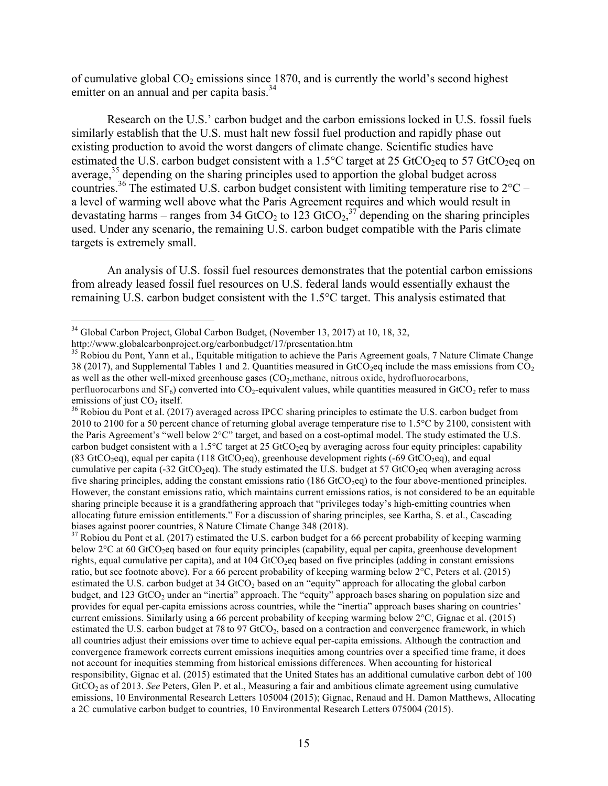of cumulative global  $CO<sub>2</sub>$  emissions since 1870, and is currently the world's second highest emitter on an annual and per capita basis.<sup>34</sup>

Research on the U.S.' carbon budget and the carbon emissions locked in U.S. fossil fuels similarly establish that the U.S. must halt new fossil fuel production and rapidly phase out existing production to avoid the worst dangers of climate change. Scientific studies have estimated the U.S. carbon budget consistent with a 1.5 $\degree$ C target at 25 GtCO<sub>2</sub>eq to 57 GtCO<sub>2</sub>eq on average,  $35$  depending on the sharing principles used to apportion the global budget across countries.<sup>36</sup> The estimated U.S. carbon budget consistent with limiting temperature rise to  $2^{\circ}$ C – a level of warming well above what the Paris Agreement requires and which would result in devastating harms – ranges from 34 GtCO<sub>2</sub> to 123 GtCO<sub>2</sub>,<sup>37</sup> depending on the sharing principles used. Under any scenario, the remaining U.S. carbon budget compatible with the Paris climate targets is extremely small.

An analysis of U.S. fossil fuel resources demonstrates that the potential carbon emissions from already leased fossil fuel resources on U.S. federal lands would essentially exhaust the remaining U.S. carbon budget consistent with the 1.5°C target. This analysis estimated that

 $37$  Robiou du Pont et al. (2017) estimated the U.S. carbon budget for a 66 percent probability of keeping warming below 2<sup>o</sup>C at 60 GtCO<sub>2</sub>eq based on four equity principles (capability, equal per capita, greenhouse development rights, equal cumulative per capita), and at  $104 \text{ GtCO}_2$  based on five principles (adding in constant emissions ratio, but see footnote above). For a 66 percent probability of keeping warming below 2°C, Peters et al. (2015) estimated the U.S. carbon budget at 34 GtCO<sub>2</sub> based on an "equity" approach for allocating the global carbon budget, and 123 GtCO<sub>2</sub> under an "inertia" approach. The "equity" approach bases sharing on population size and provides for equal per-capita emissions across countries, while the "inertia" approach bases sharing on countries' current emissions. Similarly using a 66 percent probability of keeping warming below 2°C, Gignac et al. (2015) estimated the U.S. carbon budget at 78 to 97  $GtCO<sub>2</sub>$ , based on a contraction and convergence framework, in which all countries adjust their emissions over time to achieve equal per-capita emissions. Although the contraction and convergence framework corrects current emissions inequities among countries over a specified time frame, it does not account for inequities stemming from historical emissions differences. When accounting for historical responsibility, Gignac et al. (2015) estimated that the United States has an additional cumulative carbon debt of 100 GtCO<sub>2</sub> as of 2013. *See* Peters, Glen P. et al., Measuring a fair and ambitious climate agreement using cumulative emissions, 10 Environmental Research Letters 105004 (2015); Gignac, Renaud and H. Damon Matthews, Allocating a 2C cumulative carbon budget to countries, 10 Environmental Research Letters 075004 (2015).

 34 Global Carbon Project, Global Carbon Budget, (November 13, 2017) at 10, 18, 32,

http://www.globalcarbonproject.org/carbonbudget/17/presentation.htm

<sup>&</sup>lt;sup>35</sup> Robiou du Pont, Yann et al., Equitable mitigation to achieve the Paris Agreement goals, 7 Nature Climate Change 38 (2017), and Supplemental Tables 1 and 2. Quantities measured in GtCO<sub>2</sub>eq include the mass emissions from CO<sub>2</sub> as well as the other well-mixed greenhouse gases (CO<sub>2</sub>, methane, nitrous oxide, hydrofluorocarbons, perfluorocarbons and  $SF_6$ ) converted into  $CO_2$ -equivalent values, while quantities measured in GtCO<sub>2</sub> refer to mass emissions of just  $CO_2$  itself.

<sup>&</sup>lt;sup>36</sup> Robiou du Pont et al. (2017) averaged across IPCC sharing principles to estimate the U.S. carbon budget from 2010 to 2100 for a 50 percent chance of returning global average temperature rise to 1.5°C by 2100, consistent with the Paris Agreement's "well below 2°C" target, and based on a cost-optimal model. The study estimated the U.S. carbon budget consistent with a 1.5 $^{\circ}$ C target at 25 GtCO<sub>2</sub>eq by averaging across four equity principles: capability (83 GtCO<sub>2</sub>eq), equal per capita (118 GtCO<sub>2</sub>eq), greenhouse development rights (-69 GtCO<sub>2</sub>eq), and equal cumulative per capita (-32 GtCO<sub>2</sub>eq). The study estimated the U.S. budget at 57 GtCO<sub>2</sub>eq when averaging across five sharing principles, adding the constant emissions ratio  $(186 \text{ GtCO}_2 \text{eq})$  to the four above-mentioned principles. However, the constant emissions ratio, which maintains current emissions ratios, is not considered to be an equitable sharing principle because it is a grandfathering approach that "privileges today's high-emitting countries when allocating future emission entitlements." For a discussion of sharing principles, see Kartha, S. et al., Cascading biases against poorer countries, 8 Nature Climate Change 348 (2018).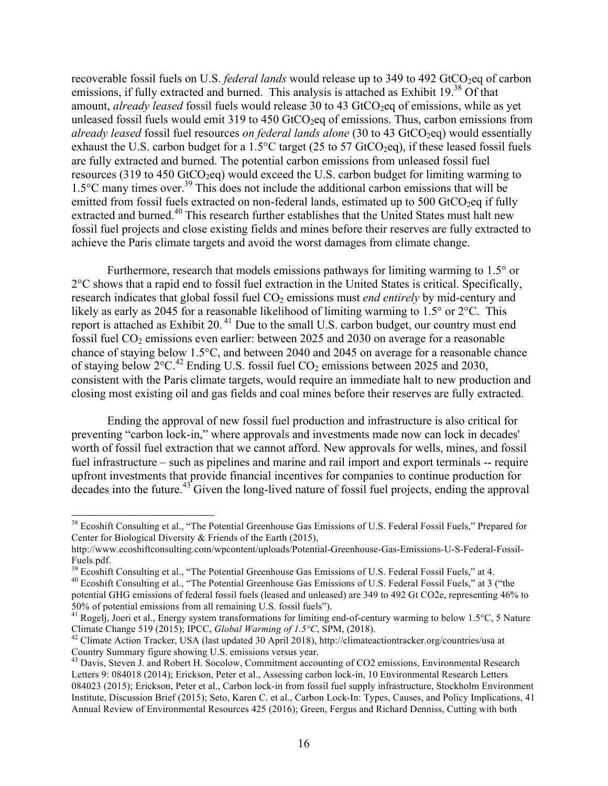recoverable fossil fuels on U.S. *federal lands* would release up to 349 to 492 GtCO<sub>2</sub>eq of carbon emissions, if fully extracted and burned. This analysis is attached as Exhibit 19.<sup>38</sup> Of that amount, *already leased* fossil fuels would release 30 to 43 GtCO<sub>2</sub>eq of emissions, while as yet unleased fossil fuels would emit  $319$  to  $450$  GtCO<sub>2</sub>eq of emissions. Thus, carbon emissions from *already leased* fossil fuel resources *on federal lands alone* (30 to 43 GtCO<sub>2</sub>eq) would essentially exhaust the U.S. carbon budget for a 1.5 $\degree$ C target (25 to 57 GtCO<sub>2</sub>eq), if these leased fossil fuels are fully extracted and burned. The potential carbon emissions from unleased fossil fuel resources (319 to 450 GtCO<sub>2</sub>eq) would exceed the U.S. carbon budget for limiting warming to 1.5°C many times over.<sup>39</sup> This does not include the additional carbon emissions that will be emitted from fossil fuels extracted on non-federal lands, estimated up to 500 GtCO<sub>2</sub>eq if fully extracted and burned.<sup>40</sup> This research further establishes that the United States must halt new fossil fuel projects and close existing fields and mines before their reserves are fully extracted to achieve the Paris climate targets and avoid the worst damages from climate change.

Furthermore, research that models emissions pathways for limiting warming to 1.5° or 2°C shows that a rapid end to fossil fuel extraction in the United States is critical. Specifically, research indicates that global fossil fuel CO<sub>2</sub> emissions must *end entirely* by mid-century and likely as early as 2045 for a reasonable likelihood of limiting warming to 1.5° or 2°C. This report is attached as Exhibit 20.<sup>41</sup> Due to the small U.S. carbon budget, our country must end fossil fuel  $CO<sub>2</sub>$  emissions even earlier: between 2025 and 2030 on average for a reasonable chance of staying below 1.5°C, and between 2040 and 2045 on average for a reasonable chance of staying below  $2^{\circ}$ C.<sup>42</sup> Ending U.S. fossil fuel CO<sub>2</sub> emissions between 2025 and 2030, consistent with the Paris climate targets, would require an immediate halt to new production and closing most existing oil and gas fields and coal mines before their reserves are fully extracted.

Ending the approval of new fossil fuel production and infrastructure is also critical for preventing "carbon lock-in," where approvals and investments made now can lock in decades' worth of fossil fuel extraction that we cannot afford. New approvals for wells, mines, and fossil fuel infrastructure – such as pipelines and marine and rail import and export terminals -- require upfront investments that provide financial incentives for companies to continue production for decades into the future.<sup>43</sup> Given the long-lived nature of fossil fuel projects, ending the approval

<sup>&</sup>lt;sup>38</sup> Ecoshift Consulting et al., "The Potential Greenhouse Gas Emissions of U.S. Federal Fossil Fuels," Prepared for Center for Biological Diversity & Friends of the Earth (2015),

http://www.ecoshiftconsulting.com/wpcontent/uploads/Potential-Greenhouse-Gas-Emissions-U-S-Federal-Fossil-Fuels.pdf.

<sup>&</sup>lt;sup>39</sup> Ecoshift Consulting et al., "The Potential Greenhouse Gas Emissions of U.S. Federal Fossil Fuels," at 4.

<sup>&</sup>lt;sup>40</sup> Ecoshift Consulting et al., "The Potential Greenhouse Gas Emissions of U.S. Federal Fossil Fuels," at 3 ("the potential GHG emissions of federal fossil fuels (leased and unleased) are 349 to 492 Gt CO2e, representing 46% to 50% of potential emissions from all remaining U.S. fossil fuels").

 $^{41}$  Rogelj, Joeri et al., Energy system transformations for limiting end-of-century warming to below 1.5 $^{\circ}$ C, 5 Nature Climate Change 519 (2015); IPCC, *Global Warming of 1.5°C*, SPM, (2018). 42 Climate Action Tracker, USA (last updated 30 April 2018), http://climateactiontracker.org/countries/usa at

Country Summary figure showing U.S. emissions versus year.

<sup>&</sup>lt;sup>43</sup> Davis, Steven J. and Robert H. Socolow, Commitment accounting of CO2 emissions, Environmental Research Letters 9: 084018 (2014); Erickson, Peter et al., Assessing carbon lock-in, 10 Environmental Research Letters 084023 (2015); Erickson, Peter et al., Carbon lock-in from fossil fuel supply infrastructure, Stockholm Environment Institute, Discussion Brief (2015); Seto, Karen C. et al., Carbon Lock-In: Types, Causes, and Policy Implications, 41 Annual Review of Environmental Resources 425 (2016); Green, Fergus and Richard Denniss, Cutting with both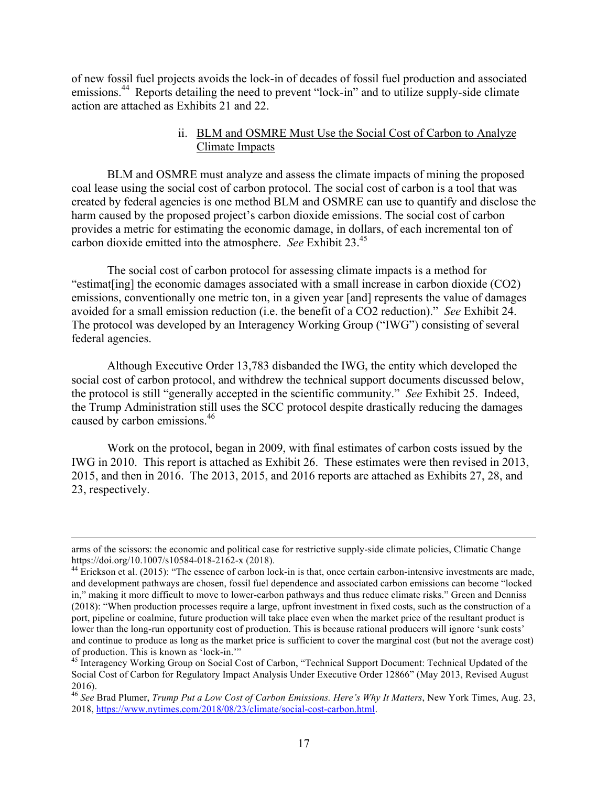of new fossil fuel projects avoids the lock-in of decades of fossil fuel production and associated emissions.<sup>44</sup> Reports detailing the need to prevent "lock-in" and to utilize supply-side climate action are attached as Exhibits 21 and 22.

### ii. BLM and OSMRE Must Use the Social Cost of Carbon to Analyze Climate Impacts

BLM and OSMRE must analyze and assess the climate impacts of mining the proposed coal lease using the social cost of carbon protocol. The social cost of carbon is a tool that was created by federal agencies is one method BLM and OSMRE can use to quantify and disclose the harm caused by the proposed project's carbon dioxide emissions. The social cost of carbon provides a metric for estimating the economic damage, in dollars, of each incremental ton of carbon dioxide emitted into the atmosphere. *See* Exhibit 23.<sup>45</sup>

The social cost of carbon protocol for assessing climate impacts is a method for "estimat[ing] the economic damages associated with a small increase in carbon dioxide (CO2) emissions, conventionally one metric ton, in a given year [and] represents the value of damages avoided for a small emission reduction (i.e. the benefit of a CO2 reduction)." *See* Exhibit 24. The protocol was developed by an Interagency Working Group ("IWG") consisting of several federal agencies.

Although Executive Order 13,783 disbanded the IWG, the entity which developed the social cost of carbon protocol, and withdrew the technical support documents discussed below, the protocol is still "generally accepted in the scientific community." *See* Exhibit 25. Indeed, the Trump Administration still uses the SCC protocol despite drastically reducing the damages caused by carbon emissions.<sup>46</sup>

Work on the protocol, began in 2009, with final estimates of carbon costs issued by the IWG in 2010. This report is attached as Exhibit 26. These estimates were then revised in 2013, 2015, and then in 2016. The 2013, 2015, and 2016 reports are attached as Exhibits 27, 28, and 23, respectively.

<u> 1989 - Andrea Santa Andrea Santa Andrea Santa Andrea Santa Andrea Santa Andrea Santa Andrea Santa Andrea San</u>

arms of the scissors: the economic and political case for restrictive supply-side climate policies, Climatic Change https://doi.org/10.1007/s10584-018-2162-x (2018).<br><sup>44</sup> Erickson et al. (2015): "The essence of carbon lock-in is that, once certain carbon-intensive investments are made,

and development pathways are chosen, fossil fuel dependence and associated carbon emissions can become "locked in," making it more difficult to move to lower-carbon pathways and thus reduce climate risks." Green and Denniss (2018): "When production processes require a large, upfront investment in fixed costs, such as the construction of a port, pipeline or coalmine, future production will take place even when the market price of the resultant product is lower than the long-run opportunity cost of production. This is because rational producers will ignore 'sunk costs' and continue to produce as long as the market price is sufficient to cover the marginal cost (but not the average cost) of production. This is known as 'lock-in."

<sup>&</sup>lt;sup>45</sup> Interagency Working Group on Social Cost of Carbon, "Technical Support Document: Technical Updated of the Social Cost of Carbon for Regulatory Impact Analysis Under Executive Order 12866" (May 2013, Revised August 2016).

<sup>46</sup> *See* Brad Plumer, *Trump Put a Low Cost of Carbon Emissions. Here's Why It Matters*, New York Times, Aug. 23, 2018, https://www.nytimes.com/2018/08/23/climate/social-cost-carbon.html.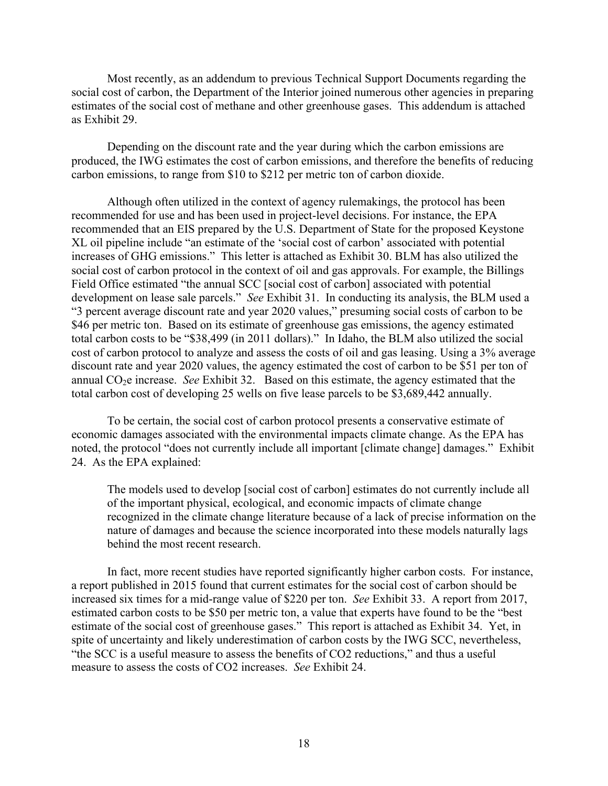Most recently, as an addendum to previous Technical Support Documents regarding the social cost of carbon, the Department of the Interior joined numerous other agencies in preparing estimates of the social cost of methane and other greenhouse gases. This addendum is attached as Exhibit 29.

Depending on the discount rate and the year during which the carbon emissions are produced, the IWG estimates the cost of carbon emissions, and therefore the benefits of reducing carbon emissions, to range from \$10 to \$212 per metric ton of carbon dioxide.

Although often utilized in the context of agency rulemakings, the protocol has been recommended for use and has been used in project-level decisions. For instance, the EPA recommended that an EIS prepared by the U.S. Department of State for the proposed Keystone XL oil pipeline include "an estimate of the 'social cost of carbon' associated with potential increases of GHG emissions." This letter is attached as Exhibit 30. BLM has also utilized the social cost of carbon protocol in the context of oil and gas approvals. For example, the Billings Field Office estimated "the annual SCC [social cost of carbon] associated with potential development on lease sale parcels." *See* Exhibit 31. In conducting its analysis, the BLM used a "3 percent average discount rate and year 2020 values," presuming social costs of carbon to be \$46 per metric ton. Based on its estimate of greenhouse gas emissions, the agency estimated total carbon costs to be "\$38,499 (in 2011 dollars)." In Idaho, the BLM also utilized the social cost of carbon protocol to analyze and assess the costs of oil and gas leasing. Using a 3% average discount rate and year 2020 values, the agency estimated the cost of carbon to be \$51 per ton of annual CO2e increase. *See* Exhibit 32. Based on this estimate, the agency estimated that the total carbon cost of developing 25 wells on five lease parcels to be \$3,689,442 annually.

To be certain, the social cost of carbon protocol presents a conservative estimate of economic damages associated with the environmental impacts climate change. As the EPA has noted, the protocol "does not currently include all important [climate change] damages." Exhibit 24. As the EPA explained:

The models used to develop [social cost of carbon] estimates do not currently include all of the important physical, ecological, and economic impacts of climate change recognized in the climate change literature because of a lack of precise information on the nature of damages and because the science incorporated into these models naturally lags behind the most recent research.

In fact, more recent studies have reported significantly higher carbon costs. For instance, a report published in 2015 found that current estimates for the social cost of carbon should be increased six times for a mid-range value of \$220 per ton. *See* Exhibit 33. A report from 2017, estimated carbon costs to be \$50 per metric ton, a value that experts have found to be the "best estimate of the social cost of greenhouse gases." This report is attached as Exhibit 34. Yet, in spite of uncertainty and likely underestimation of carbon costs by the IWG SCC, nevertheless, "the SCC is a useful measure to assess the benefits of CO2 reductions," and thus a useful measure to assess the costs of CO2 increases. *See* Exhibit 24.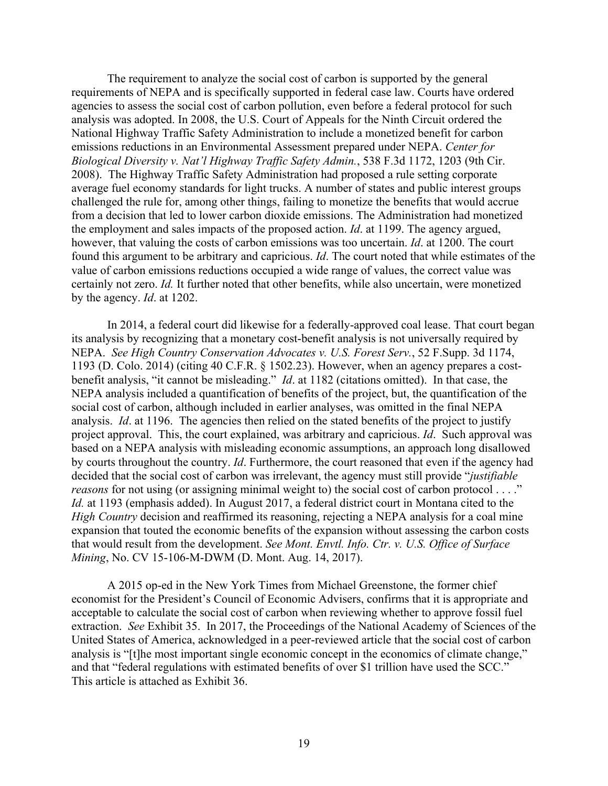The requirement to analyze the social cost of carbon is supported by the general requirements of NEPA and is specifically supported in federal case law. Courts have ordered agencies to assess the social cost of carbon pollution, even before a federal protocol for such analysis was adopted. In 2008, the U.S. Court of Appeals for the Ninth Circuit ordered the National Highway Traffic Safety Administration to include a monetized benefit for carbon emissions reductions in an Environmental Assessment prepared under NEPA. *Center for Biological Diversity v. Nat'l Highway Traffic Safety Admin.*, 538 F.3d 1172, 1203 (9th Cir. 2008). The Highway Traffic Safety Administration had proposed a rule setting corporate average fuel economy standards for light trucks. A number of states and public interest groups challenged the rule for, among other things, failing to monetize the benefits that would accrue from a decision that led to lower carbon dioxide emissions. The Administration had monetized the employment and sales impacts of the proposed action. *Id*. at 1199. The agency argued, however, that valuing the costs of carbon emissions was too uncertain. *Id*. at 1200. The court found this argument to be arbitrary and capricious. *Id*. The court noted that while estimates of the value of carbon emissions reductions occupied a wide range of values, the correct value was certainly not zero. *Id.* It further noted that other benefits, while also uncertain, were monetized by the agency. *Id*. at 1202.

In 2014, a federal court did likewise for a federally-approved coal lease. That court began its analysis by recognizing that a monetary cost-benefit analysis is not universally required by NEPA. *See High Country Conservation Advocates v. U.S. Forest Serv.*, 52 F.Supp. 3d 1174, 1193 (D. Colo. 2014) (citing 40 C.F.R. § 1502.23). However, when an agency prepares a costbenefit analysis, "it cannot be misleading." *Id*. at 1182 (citations omitted). In that case, the NEPA analysis included a quantification of benefits of the project, but, the quantification of the social cost of carbon, although included in earlier analyses, was omitted in the final NEPA analysis. *Id.* at 1196. The agencies then relied on the stated benefits of the project to justify project approval. This, the court explained, was arbitrary and capricious. *Id*. Such approval was based on a NEPA analysis with misleading economic assumptions, an approach long disallowed by courts throughout the country. *Id*. Furthermore, the court reasoned that even if the agency had decided that the social cost of carbon was irrelevant, the agency must still provide "*justifiable reasons* for not using (or assigning minimal weight to) the social cost of carbon protocol . . . ." *Id.* at 1193 (emphasis added). In August 2017, a federal district court in Montana cited to the *High Country* decision and reaffirmed its reasoning, rejecting a NEPA analysis for a coal mine expansion that touted the economic benefits of the expansion without assessing the carbon costs that would result from the development. *See Mont. Envtl. Info. Ctr. v. U.S. Office of Surface Mining*, No. CV 15-106-M-DWM (D. Mont. Aug. 14, 2017).

A 2015 op-ed in the New York Times from Michael Greenstone, the former chief economist for the President's Council of Economic Advisers, confirms that it is appropriate and acceptable to calculate the social cost of carbon when reviewing whether to approve fossil fuel extraction. *See* Exhibit 35. In 2017, the Proceedings of the National Academy of Sciences of the United States of America, acknowledged in a peer-reviewed article that the social cost of carbon analysis is "[t]he most important single economic concept in the economics of climate change," and that "federal regulations with estimated benefits of over \$1 trillion have used the SCC." This article is attached as Exhibit 36.